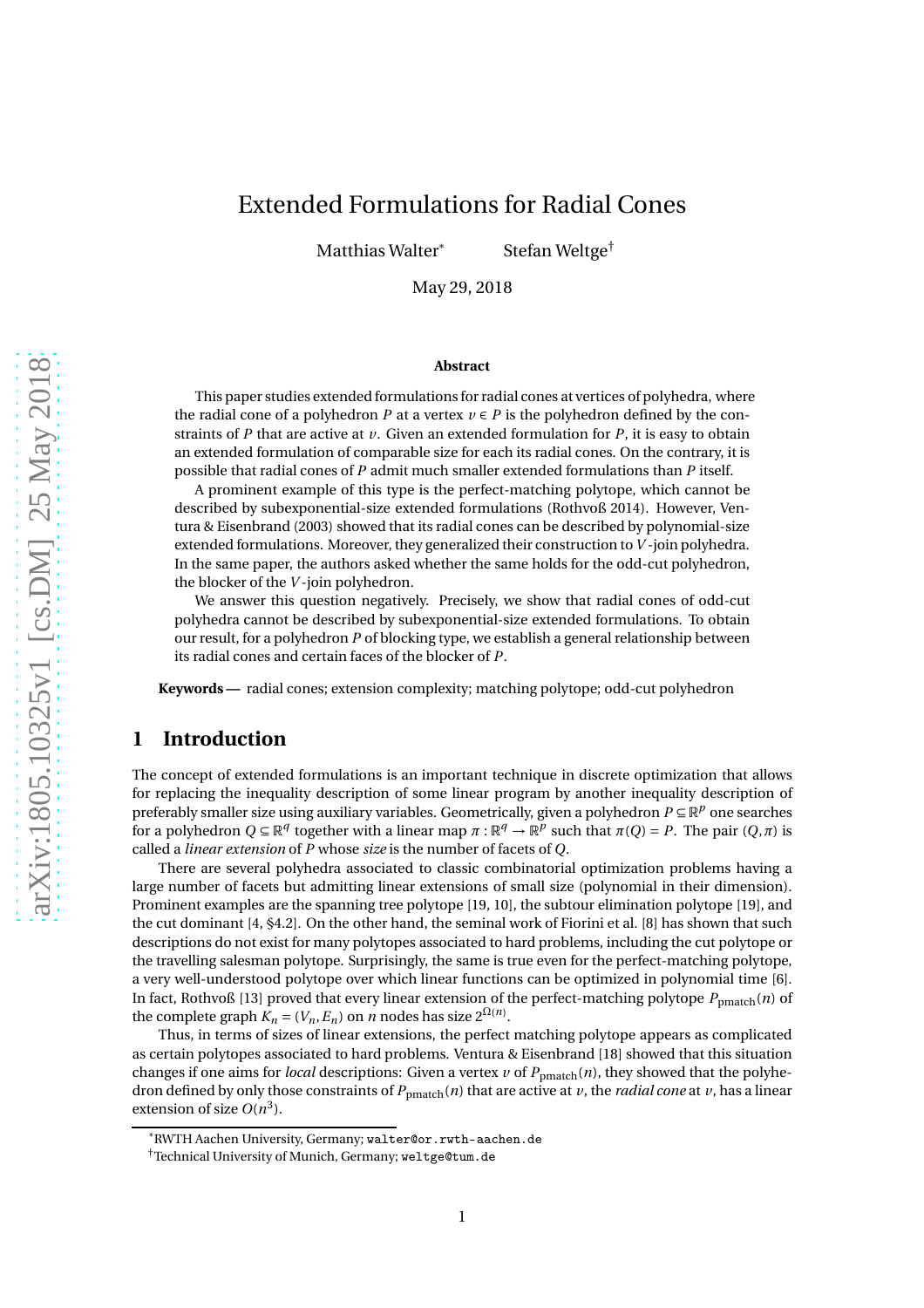# Extended Formulations for Radial Cones

Matthias Walter<sup>\*</sup> Stefan Weltge<sup>†</sup>

May 29, 2018

#### **Abstract**

This paper studies extended formulations for radial cones at vertices of polyhedra, where the radial cone of a polyhedron *P* at a vertex  $v \in P$  is the polyhedron defined by the constraints of *P* that are active at *v*. Given an extended formulation for *P*, it is easy to obtain an extended formulation of comparable size for each its radial cones. On the contrary, it is possible that radial cones of *P* admit much smaller extended formulations than *P* itself.

A prominent example of this type is the perfect-matching polytope, which cannot be described by subexponential-size extended formulations (Rothvoß 2014). However, Ventura & Eisenbrand (2003) showed that its radial cones can be described by polynomial-size extended formulations. Moreover, they generalized their construction to*V* -join polyhedra. In the same paper, the authors asked whether the same holds for the odd-cut polyhedron, the blocker of the *V* -join polyhedron.

We answer this question negatively. Precisely, we show that radial cones of odd-cut polyhedra cannot be described by subexponential-size extended formulations. To obtain our result, for a polyhedron *P* of blocking type, we establish a general relationship between its radial cones and certain faces of the blocker of *P*.

**Keywords —** radial cones; extension complexity; matching polytope; odd-cut polyhedron

# **1 Introduction**

The concept of extended formulations is an important technique in discrete optimization that allows for replacing the inequality description of some linear program by another inequality description of preferably smaller size using auxiliary variables. Geometrically, given a polyhedron *P* ⊆ R<sup>*p*</sup> one searches for a polyhedron  $Q \subseteq \mathbb{R}^q$  together with a linear map  $\pi : \mathbb{R}^q \to \mathbb{R}^p$  such that  $\pi(Q) = P$ . The pair  $(Q, \pi)$  is called a *linear extension* of *P* whose *size* is the number of facets of *Q*.

There are several polyhedra associated to classic combinatorial optimization problems having a large number of facets but admitting linear extensions of small size (polynomial in their dimension). Prominent examples are the spanning tree polytope [\[19](#page-8-0), [10](#page-7-0)], the subtour elimination polytope [\[19\]](#page-8-0), and the cut dominant [\[4](#page-7-1), §4.2]. On the other hand, the seminal work of Fiorini et al. [\[8\]](#page-7-2) has shown that such descriptions do not exist for many polytopes associated to hard problems, including the cut polytope or the travelling salesman polytope. Surprisingly, the same is true even for the perfect-matching polytope, a very well-understood polytope over which linear functions can be optimized in polynomial time [\[6\]](#page-7-3). In fact, Rothvoß [\[13](#page-7-4)] proved that every linear extension of the perfect-matching polytope  $P_{pmatch}(n)$  of the complete graph  $K_n = (V_n, E_n)$  on *n* nodes has size  $2^{\Omega(n)}$ .

Thus, in terms of sizes of linear extensions, the perfect matching polytope appears as complicated as certain polytopes associated to hard problems. Ventura & Eisenbrand [\[18\]](#page-8-1) showed that this situation changes if one aims for *local* descriptions: Given a vertex  $v$  of  $P_{pmatch}(n)$ , they showed that the polyhedron defined by only those constraints of  $P_{pmatch}(n)$  that are active at *v*, the *radial cone* at *v*, has a linear extension of size  $O(n^3)$ .

<sup>\*</sup>RWTH Aachen University, Germany; <walter@or.rwth-aachen.de>

<sup>†</sup>Technical University of Munich, Germany; <weltge@tum.de>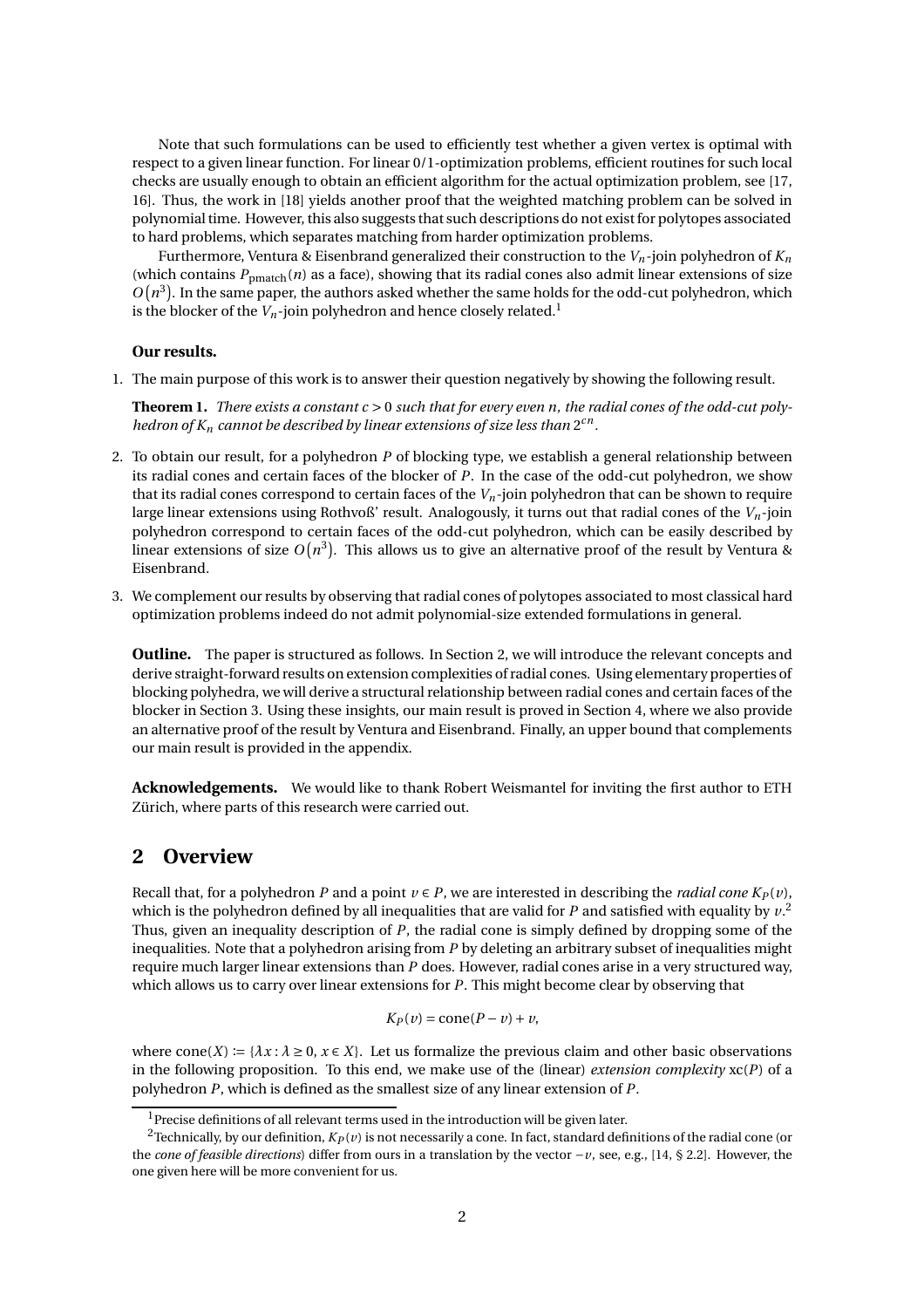Note that such formulations can be used to efficiently test whether a given vertex is optimal with respect to a given linear function. For linear 0/1-optimization problems, efficient routines for such local checks are usually enough to obtain an efficient algorithm for the actual optimization problem, see [\[17,](#page-8-2) [16\]](#page-8-3). Thus, the work in [\[18](#page-8-1)] yields another proof that the weighted matching problem can be solved in polynomial time. However, this also suggests that such descriptions do not exist for polytopes associated to hard problems, which separates matching from harder optimization problems.

Furthermore, Ventura & Eisenbrand generalized their construction to the *Vn*-join polyhedron of *K<sup>n</sup>* (which contains  $P_{pmatch}(n)$  as a face), showing that its radial cones also admit linear extensions of size  $O(n^3)$ . In the same paper, the authors asked whether the same holds for the odd-cut polyhedron, which is the blocker of the  $V_n$ -join polyhedron and hence closely related.<sup>[1](#page-1-0)</sup>

#### **Our results.**

1. The main purpose of this work is to answer their question negatively by showing the following result.

<span id="page-1-3"></span>**Theorem 1.** *There exists a constant c* > 0 *such that for every even n, the radial cones of the odd-cut poly*hedron of  $K_n$  cannot be described by linear extensions of size less than  $2^{cn}$ .

- 2. To obtain our result, for a polyhedron *P* of blocking type, we establish a general relationship between its radial cones and certain faces of the blocker of *P*. In the case of the odd-cut polyhedron, we show that its radial cones correspond to certain faces of the *Vn*-join polyhedron that can be shown to require large linear extensions using Rothvoß' result. Analogously, it turns out that radial cones of the *Vn*-join polyhedron correspond to certain faces of the odd-cut polyhedron, which can be easily described by linear extensions of size  $O(n^3)$ . This allows us to give an alternative proof of the result by Ventura & Eisenbrand.
- 3. We complement our results by observing that radial cones of polytopes associated to most classical hard optimization problems indeed do not admit polynomial-size extended formulations in general.

**Outline.** The paper is structured as follows. In Section [2,](#page-1-1) we will introduce the relevant concepts and derive straight-forward results on extension complexities of radial cones. Using elementary properties of blocking polyhedra, we will derive a structural relationship between radial cones and certain faces of the blocker in Section [3.](#page-3-0) Using these insights, our main result is proved in Section [4,](#page-4-0) where we also provide an alternative proof of the result by Ventura and Eisenbrand. Finally, an upper bound that complements our main result is provided in the appendix.

**Acknowledgements.** We would like to thank Robert Weismantel for inviting the first author to ETH Zürich, where parts of this research were carried out.

### <span id="page-1-1"></span>**2 Overview**

Recall that, for a polyhedron *P* and a point  $v \in P$ , we are interested in describing the *radial cone*  $K_P(v)$ , which is the polyhedron defined by all inequalities that are valid for  $P$  and satisfied with equality by  $v^2$  $v^2$ . Thus, given an inequality description of *P*, the radial cone is simply defined by dropping some of the inequalities. Note that a polyhedron arising from *P* by deleting an arbitrary subset of inequalities might require much larger linear extensions than *P* does. However, radial cones arise in a very structured way, which allows us to carry over linear extensions for *P*. This might become clear by observing that

$$
K_P(v) = \text{cone}(P - v) + v,
$$

where  $cone(X) := \{ \lambda x : \lambda \ge 0, x \in X \}$ . Let us formalize the previous claim and other basic observations in the following proposition. To this end, we make use of the (linear) *extension complexity*  $\mathbf{xc}(P)$  of a polyhedron *P*, which is defined as the smallest size of any linear extension of *P*.

<span id="page-1-0"></span> $1$ Precise definitions of all relevant terms used in the introduction will be given later.

<span id="page-1-2"></span><sup>&</sup>lt;sup>2</sup>Technically, by our definition,  $K_P(v)$  is not necessarily a cone. In fact, standard definitions of the radial cone (or the *cone of feasible directions*) differ from ours in a translation by the vector −*v*, see, e.g., [\[14,](#page-8-4) § 2.2]. However, the one given here will be more convenient for us.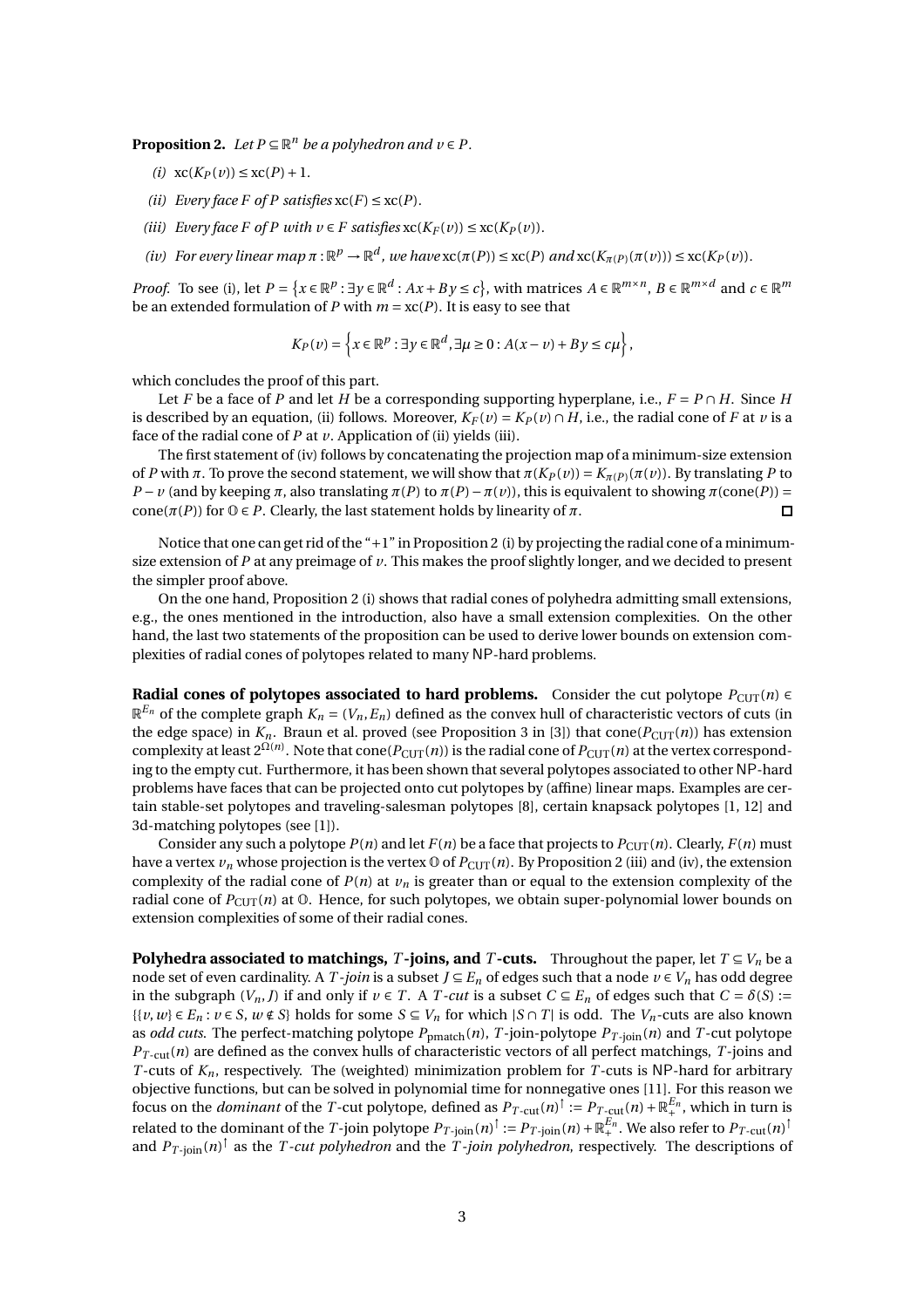<span id="page-2-4"></span><span id="page-2-0"></span>**Proposition 2.** *Let*  $P \subseteq \mathbb{R}^n$  *be a polyhedron and*  $v \in P$ *.* 

- <span id="page-2-1"></span> $(i)$   $\operatorname{xc}(K_P(v)) \leq \operatorname{xc}(P) + 1$ .
- <span id="page-2-2"></span>*(ii) Every face F of P satisfies*  $xc(F) \leq xc(P)$ *.*
- <span id="page-2-3"></span>*(iii) Every face F of P with*  $v \in F$  *satisfies*  $xc(K_F(v)) \leq xc(K_P(v))$ *.*
- (iv) For every linear map  $\pi : \mathbb{R}^p \to \mathbb{R}^d$ , we have  $\mathrm{xc}(\pi(P)) \leq \mathrm{xc}(P)$  and  $\mathrm{xc}(K_{\pi(P)}(\pi(v))) \leq \mathrm{xc}(K_P(v))$ .

*Proof.* To see [\(i\),](#page-2-0) let  $P = \{x \in \mathbb{R}^p : \exists y \in \mathbb{R}^d : Ax + By \le c\}$ , with matrices  $A \in \mathbb{R}^{m \times n}$ ,  $B \in \mathbb{R}^{m \times d}$  and  $c \in \mathbb{R}^m$ be an extended formulation of *P* with  $m = xc(P)$ . It is easy to see that

$$
K_P(v) = \left\{ x \in \mathbb{R}^p : \exists y \in \mathbb{R}^d, \exists \mu \ge 0 : A(x - v) + By \le c\mu \right\},\
$$

which concludes the proof of this part.

Let *F* be a face of *P* and let *H* be a corresponding supporting hyperplane, i.e.,  $F = P \cap H$ . Since *H* is described by an equation, [\(ii\)](#page-2-1) follows. Moreover,  $K_F(v) = K_P(v) \cap H$ , i.e., the radial cone of *F* at *v* is a face of the radial cone of  $P$  at  $\nu$ . Application of [\(ii\)](#page-2-1) yields [\(iii\).](#page-2-2)

The first statement of [\(iv\)](#page-2-3) follows by concatenating the projection map of a minimum-size extension of *P* with *π*. To prove the second statement, we will show that  $\pi$ (*KP*(*v*)) =  $K_{\pi(P)}(\pi(v))$ . By translating *P* to *P* − *v* (and by keeping *π*, also translating *π*(*P*) to  $π(P) - π(v)$ ), this is equivalent to showing  $π$ (cone(*P*)) = cone( $\pi(P)$ ) for  $\mathbb{O} \in P$ . Clearly, the last statement holds by linearity of  $\pi$ .  $\Box$ 

Notice that one can get rid of the "+1" in Proposition [2](#page-2-4) [\(i\)](#page-2-0) by projecting the radial cone of a minimumsize extension of  $P$  at any preimage of  $\nu$ . This makes the proof slightly longer, and we decided to present the simpler proof above.

On the one hand, Proposition [2](#page-2-4) [\(i\)](#page-2-0) shows that radial cones of polyhedra admitting small extensions, e.g., the ones mentioned in the introduction, also have a small extension complexities. On the other hand, the last two statements of the proposition can be used to derive lower bounds on extension complexities of radial cones of polytopes related to many NP-hard problems.

**Radial cones of polytopes associated to hard problems.** Consider the cut polytope  $P_{\text{CUT}}(n) \in$  $\mathbb{R}^{E_n}$  of the complete graph  $K_n = (V_n,E_n)$  defined as the convex hull of characteristic vectors of cuts (in the edge space) in  $K_n$ . Braun et al. proved (see Proposition 3 in [\[3\]](#page-7-5)) that cone( $P_{\text{CUT}}(n)$ ) has extension complexity at least  $2^{\Omega(n)}$ . Note that cone( $P_{\text{CUT}}(n)$ ) is the radial cone of  $P_{\text{CUT}}(n)$  at the vertex corresponding to the empty cut. Furthermore, it has been shown that several polytopes associated to other NP-hard problems have faces that can be projected onto cut polytopes by (affine) linear maps. Examples are certain stable-set polytopes and traveling-salesman polytopes [\[8](#page-7-2)], certain knapsack polytopes [\[1,](#page-7-6) [12\]](#page-7-7) and 3d-matching polytopes (see [\[1](#page-7-6)]).

Consider any such a polytope  $P(n)$  and let  $F(n)$  be a face that projects to  $P_{\text{CUT}}(n)$ . Clearly,  $F(n)$  must have a vertex  $v_n$  whose projection is the vertex  $\Phi$  of  $P_{\text{CUT}}(n)$ . By Proposition [2](#page-2-4) [\(iii\)](#page-2-2) and [\(iv\),](#page-2-3) the extension complexity of the radial cone of  $P(n)$  at  $v_n$  is greater than or equal to the extension complexity of the radial cone of  $P_{\text{CUT}}(n)$  at  $\mathcal{O}$ . Hence, for such polytopes, we obtain super-polynomial lower bounds on extension complexities of some of their radial cones.

**Polyhedra associated to matchings,** *T* **-joins, and** *T* **-cuts.** Throughout the paper, let  $T \subseteq V_n$  be a node set of even cardinality. A *T*-join is a subset  $J \subseteq E_n$  of edges such that a node  $v \in V_n$  has odd degree in the subgraph  $(V_n, J)$  if and only if  $v \in T$ . A *T*-cut is a subset  $C \subseteq E_n$  of edges such that  $C = \delta(S)$ :=  $\{v, w\} \in E_n$ :  $v \in S$ ,  $w \notin S$ } holds for some  $S \subseteq V_n$  for which  $|S \cap T|$  is odd. The  $V_n$ -cuts are also known as *odd cuts*. The perfect-matching polytope  $P_{pmatch}(n)$ ,  $T$ -join-polytope  $P_{T\text{-join}}(n)$  and  $T$ -cut polytope *P<sup>T</sup>* -cut(*n*) are defined as the convex hulls of characteristic vectors of all perfect matchings, *T* -joins and *<sup>T</sup>* -cuts of *<sup>K</sup>n*, respectively. The (weighted) minimization problem for *<sup>T</sup>* -cuts is NP-hard for arbitrary objective functions, but can be solved in polynomial time for nonnegative ones [\[11\]](#page-7-8). For this reason we focus on the *dominant* of the *T*-cut polytope, defined as  $P_{T\text{-cut}}(n)^\dagger := P_{T\text{-cut}}(n) + \mathbb{R}_+^{E_n}$ , which in turn is related to the dominant of the  $T$ -join polytope  $P_{T\text{-join}}(n)^\dagger := P_{T\text{-join}}(n) + \mathbb{R}^{E_n}_+ .$  We also refer to  $P_{T\text{-cut}}(n)^\dagger$ and  $P_{T\text{-join}}(n)^\dagger$  as the *T*-cut polyhedron and the *T*-join polyhedron, respectively. The descriptions of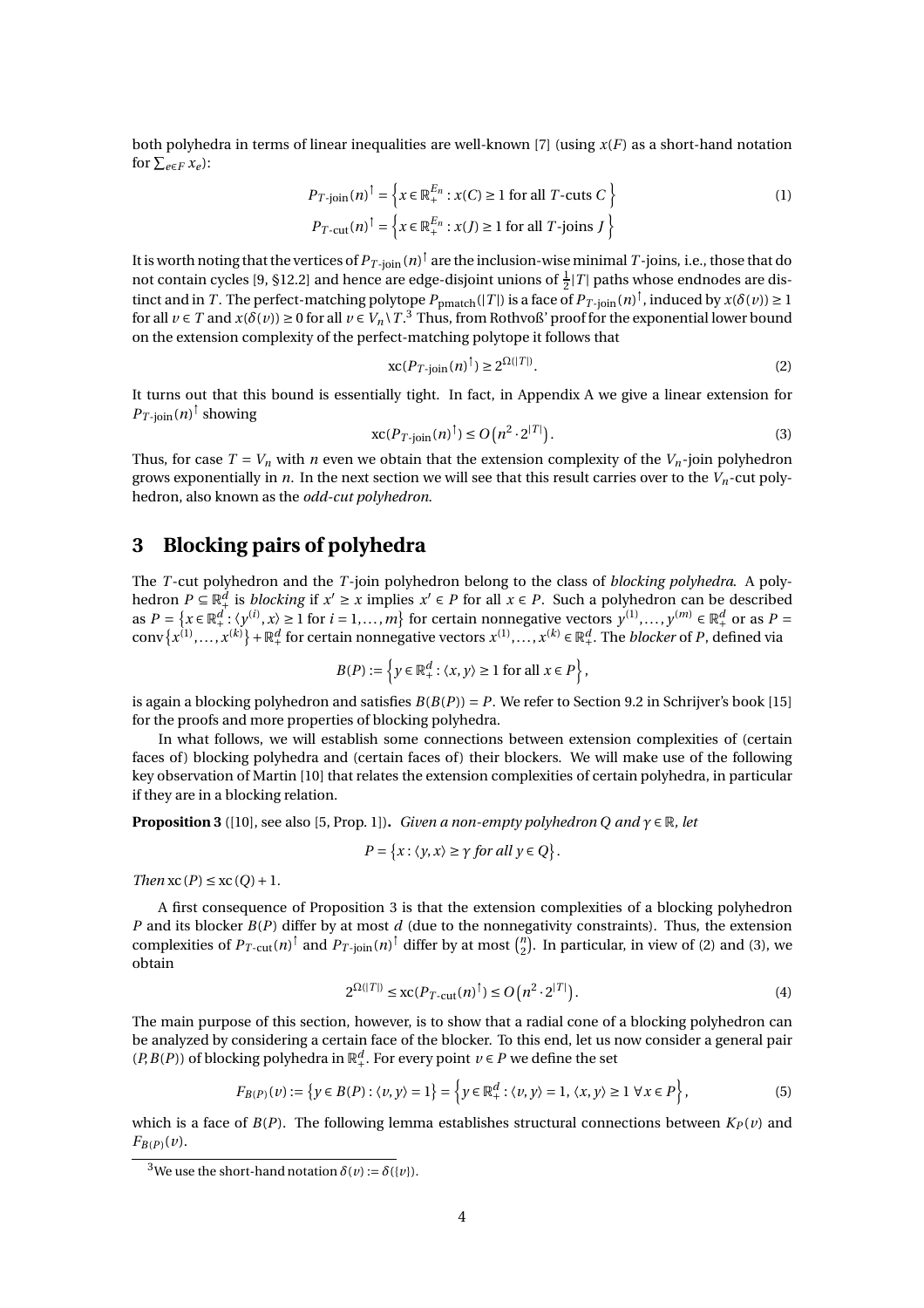both polyhedra in terms of linear inequalities are well-known [\[7\]](#page-7-9) (using *x*(*F*) as a short-hand notation for  $\sum_{e \in F} x_e$ :

$$
P_{T\text{-join}}(n)^\dagger = \left\{ x \in \mathbb{R}_+^{E_n} : x(C) \ge 1 \text{ for all } T\text{-cuts } C \right\}
$$
  
\n
$$
P_{T\text{-cut}}(n)^\dagger = \left\{ x \in \mathbb{R}_+^{E_n} : x(J) \ge 1 \text{ for all } T\text{-joins } J \right\}
$$
 (1)

It is worth noting that the vertices of  $P_{T\text{-join}}$  ( $n)^\dagger$  are the inclusion-wise minimal  $T\text{-joins, i.e.,}$  those that do not contain cycles [\[9](#page-7-10), §12.2] and hence are edge-disjoint unions of  $\frac{1}{2}|T|$  paths whose endnodes are distinct and in *T*. The perfect-matching polytope  $P_{pmatch}(|T|)$  is a face of  $P_{T\text{-join}}(n)^\dagger$ , induced by  $x(\delta(v)) \ge 1$ for all  $v \in T$  and  $x(\delta(v)) \ge 0$  for all  $v \in V_n \setminus T$ .<sup>[3](#page-3-1)</sup> Thus, from Rothvoß' proof for the exponential lower bound on the extension complexity of the perfect-matching polytope it follows that

<span id="page-3-7"></span><span id="page-3-3"></span>
$$
\operatorname{xc}(P_{T\text{-join}}(n)^{\dagger}) \ge 2^{\Omega(|T|)}.
$$
 (2)

It turns out that this bound is essentially tight. In fact, in Appendix [A](#page-8-5) we give a linear extension for  $P_{T\text{-join}}(n)^\dagger$  showing

<span id="page-3-4"></span>
$$
\operatorname{xc}(P_{T\text{-join}}(n)^{\dagger}) \le O\left(n^2 \cdot 2^{|T|}\right). \tag{3}
$$

Thus, for case  $T = V_n$  with *n* even we obtain that the extension complexity of the  $V_n$ -join polyhedron grows exponentially in *n*. In the next section we will see that this result carries over to the *Vn*-cut polyhedron, also known as the *odd-cut polyhedron*.

# <span id="page-3-0"></span>**3 Blocking pairs of polyhedra**

The *T* -cut polyhedron and the *T* -join polyhedron belong to the class of *blocking polyhedra*. A polyhedron  $P \subseteq \mathbb{R}^d_+$  is *blocking* if  $x' \ge x$  implies  $x' \in P$  for all  $x \in P$ . Such a polyhedron can be described as  $P = \{x \in \mathbb{R}_+^d : \langle y^{(i)}, x \rangle \ge 1 \text{ for } i = 1, ..., m\}$  for certain nonnegative vectors  $y^{(1)}, \ldots, y^{(m)} \in \mathbb{R}_+^d$  or as  $P =$  $conv\{x^{(1)},...,x^{(k)}\} + \mathbb{R}_+^d$  for certain nonnegative vectors  $x^{(1)},...,x^{(k)} \in \mathbb{R}_+^d$ . The *blocker* of *P*, defined via

$$
B(P) := \left\{ y \in \mathbb{R}_+^d : \langle x, y \rangle \ge 1 \text{ for all } x \in P \right\},\
$$

is again a blocking polyhedron and satisfies  $B(B(P)) = P$ . We refer to Section 9.2 in Schrijver's book [\[15](#page-8-6)] for the proofs and more properties of blocking polyhedra.

In what follows, we will establish some connections between extension complexities of (certain faces of) blocking polyhedra and (certain faces of) their blockers. We will make use of the following key observation of Martin [\[10\]](#page-7-0) that relates the extension complexities of certain polyhedra, in particular if they are in a blocking relation.

<span id="page-3-2"></span>**Proposition 3** ([\[10\]](#page-7-0), see also [\[5](#page-7-11), Prop. 1]). *Given a non-empty polyhedron Q and*  $\gamma \in \mathbb{R}$ *, let* 

$$
P = \{x : \langle y, x \rangle \ge \gamma \text{ for all } y \in Q\}.
$$

*Then*  $\operatorname{xc}(P) \leq \operatorname{xc}(Q) + 1$ *.* 

A first consequence of Proposition [3](#page-3-2) is that the extension complexities of a blocking polyhedron *P* and its blocker *B*(*P*) differ by at most *d* (due to the nonnegativity constraints). Thus, the extension complexities of  $P_{T\text{-cut}}(n)^\dagger$  and  $P_{T\text{-join}}(n)^\dagger$  differ by at most  $\binom{n}{2}$ . In particular, in view of [\(2\)](#page-3-3) and [\(3\)](#page-3-4), we obtain

<span id="page-3-6"></span>
$$
2^{\Omega(|T|)} \le \operatorname{xc}(P_{T\text{-}\mathrm{cut}}(n)^{\dagger}) \le O\big(n^2 \cdot 2^{|T|}\big). \tag{4}
$$

The main purpose of this section, however, is to show that a radial cone of a blocking polyhedron can be analyzed by considering a certain face of the blocker. To this end, let us now consider a general pair (*P*, *B*(*P*)) of blocking polyhedra in  $\mathbb{R}^d_+$ . For every point  $v \in P$  we define the set

<span id="page-3-5"></span>
$$
F_{B(P)}(v) := \left\{ y \in B(P) : \langle v, y \rangle = 1 \right\} = \left\{ y \in \mathbb{R}_+^d : \langle v, y \rangle = 1, \langle x, y \rangle \ge 1 \,\forall x \in P \right\},\tag{5}
$$

which is a face of  $B(P)$ . The following lemma establishes structural connections between  $K_P(v)$  and  $F_{B(P)}(v)$ .

<span id="page-3-1"></span><sup>&</sup>lt;sup>3</sup>We use the short-hand notation  $\delta(v) := \delta({v})$ .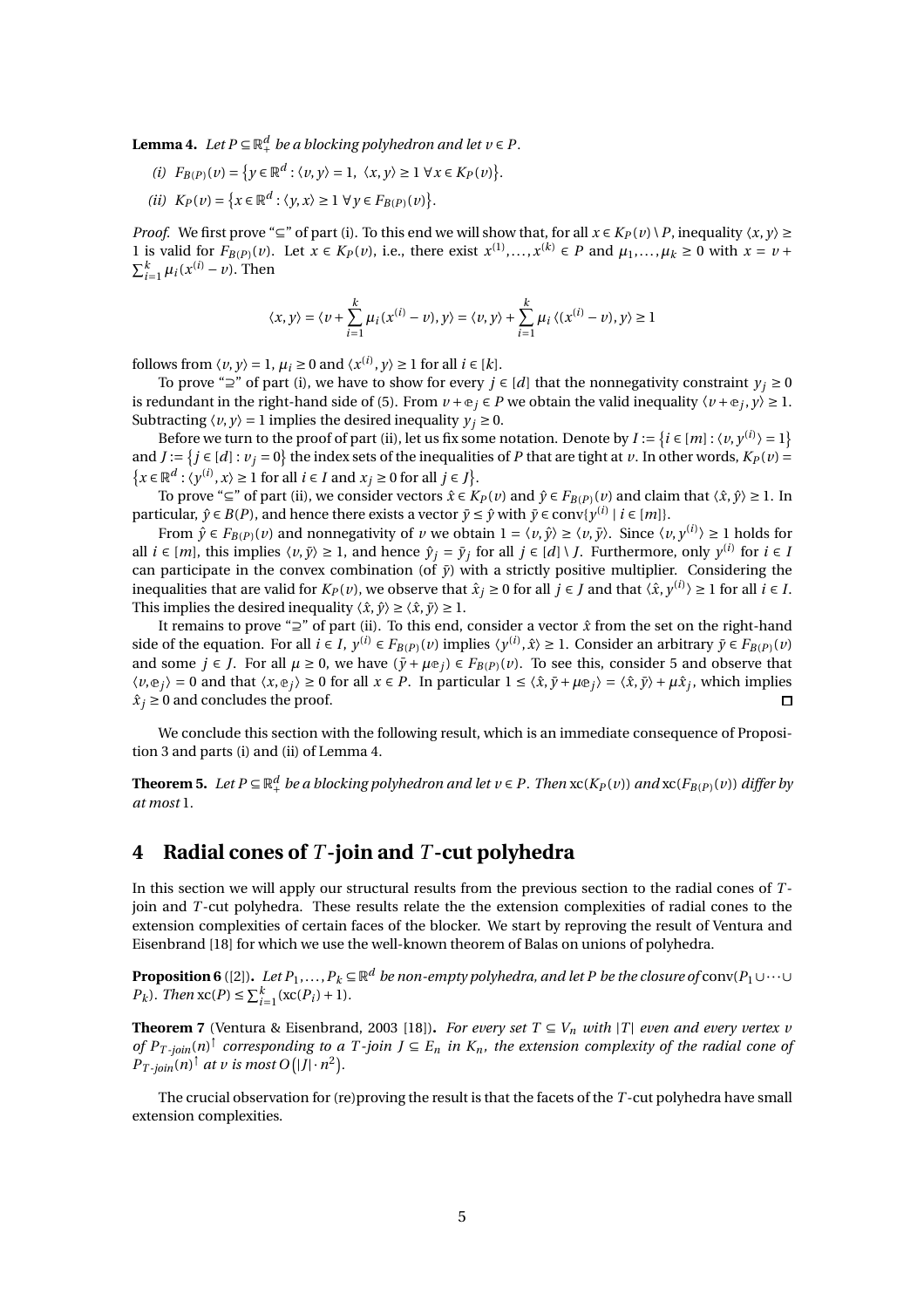<span id="page-4-3"></span><span id="page-4-1"></span>**Lemma 4.** Let  $P \subseteq \mathbb{R}^d_+$  be a blocking polyhedron and let  $v \in P$ .

- <span id="page-4-2"></span>*(i)*  $F_{B(P)}(v) = \{ y \in \mathbb{R}^d : \langle v, y \rangle = 1, \ \langle x, y \rangle \ge 1 \ \forall x \in K_P(v) \}.$
- *(ii)*  $K_P(v) = \{x \in \mathbb{R}^d : \langle y, x \rangle \ge 1 \ \forall y \in F_{B(P)}(v)\}.$

*Proof.* We first prove "⊆" of part [\(i\).](#page-4-1) To this end we will show that, for all  $x \in K_P(v) \setminus P$ , inequality  $\langle x, y \rangle \ge$ 1 is valid for  $F_{B(P)}(v)$ . Let  $x \in K_P(v)$ , i.e., there exist  $x^{(1)},..., x^{(k)} \in P$  and  $\mu_1,..., \mu_k \ge 0$  with  $x = v +$  $\sum_{i=1}^k \mu_i(x^{(i)} - v)$ . Then

$$
\langle x,y\rangle=\langle \nu+\sum_{i=1}^k\mu_i(x^{(i)}-\nu),y\rangle=\langle \nu,y\rangle+\sum_{i=1}^k\mu_i\,\langle (x^{(i)}-\nu),y\rangle\geq 1
$$

follows from  $\langle v, y \rangle = 1$ ,  $\mu_i \ge 0$  and  $\langle x^{(i)}, y \rangle \ge 1$  for all  $i \in [k]$ .

To prove "⊇" of part [\(i\),](#page-4-1) we have to show for every  $j \in [d]$  that the nonnegativity constraint  $y_j \ge 0$ is redundant in the right-hand side of [\(5\)](#page-3-5). From  $v + e_j \in P$  we obtain the valid inequality  $\langle v + e_j, y \rangle \ge 1$ . Subtracting  $\langle v, y \rangle = 1$  implies the desired inequality  $y_i \ge 0$ .

Before we turn to the proof of part [\(ii\),](#page-4-2) let us fix some notation. Denote by  $I := \{i \in [m] : \langle v, y^{(i)} \rangle = 1\}$ and  $J := \{j \in [d]: v_j = 0\}$  the index sets of the inequalities of *P* that are tight at *v*. In other words,  $K_P(v) =$  $\{x \in \mathbb{R}^d : \langle y^{(i)}, x \rangle \ge 1 \text{ for all } i \in I \text{ and } x_j \ge 0 \text{ for all } j \in J\}.$ 

To prove "⊆" of part [\(ii\),](#page-4-2) we consider vectors  $\hat{x} \in K_P(v)$  and  $\hat{y} \in F_{B(P)}(v)$  and claim that  $\langle \hat{x}, \hat{y} \rangle \ge 1$ . In particular,  $\hat{y} \in B(P)$ , and hence there exists a vector  $\bar{y} \leq \hat{y}$  with  $\bar{y} \in \text{conv}\{y^{(i)} \mid i \in [m]\}.$ 

From  $\hat{y} \in F_{B(P)}(v)$  and nonnegativity of  $v$  we obtain  $1 = \langle v, \hat{y} \rangle \ge \langle v, \bar{y} \rangle$ . Since  $\langle v, y^{(i)} \rangle \ge 1$  holds for all *i* ∈  $[m]$ , this implies  $\langle v, \bar{y} \rangle \ge 1$ , and hence  $\hat{y}_j = \bar{y}_j$  for all  $j \in [d] \setminus J$ . Furthermore, only  $y^{(i)}$  for  $i \in I$ can participate in the convex combination (of  $\bar{y}$ ) with a strictly positive multiplier. Considering the inequalities that are valid for  $K_P(v)$ , we observe that  $\hat{x}_j \ge 0$  for all  $j \in J$  and that  $\langle \hat{x}, y^{(i)} \rangle \ge 1$  for all  $i \in I$ . This implies the desired inequality  $\langle \hat{x}, \hat{y} \rangle \ge \langle \hat{x}, \bar{y} \rangle \ge 1$ .

It remains to prove "⊇" of part [\(ii\).](#page-4-2) To this end, consider a vector *x*ˆ from the set on the right-hand side of the equation. For all  $i \in I$ ,  $y^{(i)} \in F_{B(P)}(v)$  implies  $\langle y^{(i)}, \hat{x} \rangle \ge 1$ . Consider an arbitrary  $\bar{y} \in F_{B(P)}(v)$ and some  $j \in J$ . For all  $\mu \ge 0$ , we have  $(\bar{y} + \mu e_j) \in F_{B(P)}(v)$ . To see this, consider [5](#page-3-5) and observe that  $\langle v, \mathbb{e}_j \rangle = 0$  and that  $\langle x, \mathbb{e}_j \rangle \ge 0$  for all  $x \in P$ . In particular  $1 \le \langle \hat{x}, \bar{y} + \mu \mathbb{e}_j \rangle = \langle \hat{x}, \bar{y} \rangle + \mu \hat{x}_j$ , which implies  $\hat{x}_i \geq 0$  and concludes the proof.  $\Box$ 

We conclude this section with the following result, which is an immediate consequence of Proposition [3](#page-3-2) and parts [\(i\)](#page-4-1) and [\(ii\)](#page-4-2) of Lemma [4.](#page-4-3)

<span id="page-4-4"></span>**Theorem 5.** Let P ⊆  $\mathbb{R}^d_+$  be a blocking polyhedron and let  $v$  ∈ P. Then  $\mathrm{xc}(K_P(v))$  and  $\mathrm{xc}(F_{B(P)}(v))$  differ by *at most* 1*.*

# <span id="page-4-0"></span>**4 Radial cones of** *T* **-join and** *T* **-cut polyhedra**

In this section we will apply our structural results from the previous section to the radial cones of *T* join and *T* -cut polyhedra. These results relate the the extension complexities of radial cones to the extension complexities of certain faces of the blocker. We start by reproving the result of Ventura and Eisenbrand [\[18](#page-8-1)] for which we use the well-known theorem of Balas on unions of polyhedra.

<span id="page-4-5"></span><code>Proposition 6</code> ([\[2](#page-7-12)]).  $Let$   $P_1,...,P_k$   $\subseteq$   $\mathbb{R}^d$  *be non-empty polyhedra, and let P be the closure of* conv( $P_1$ ∪ $\cdots$ ∪ *P<sub>k</sub>*). Then  $\operatorname{xc}(P) \le \sum_{i=1}^{k} (\operatorname{xc}(P_i) + 1)$ *.* 

<span id="page-4-6"></span>**Theorem 7** (Ventura & Eisenbrand, 2003 [\[18](#page-8-1)]). *For every set*  $T \subseteq V_n$  *with*  $|T|$  *even and every vertex v of*  $P_{T \text{-}join}(n)$ <sup>†</sup> corresponding to a  $T \text{-}join\ J \subseteq E_n$  *in*  $K_n$ *, the extension complexity of the radial cone of*  $P_{T \text{-}join}(n)^\dagger$  at v is most  $O(|J| \cdot n^2)$ .

The crucial observation for (re)proving the result is that the facets of the *T* -cut polyhedra have small extension complexities.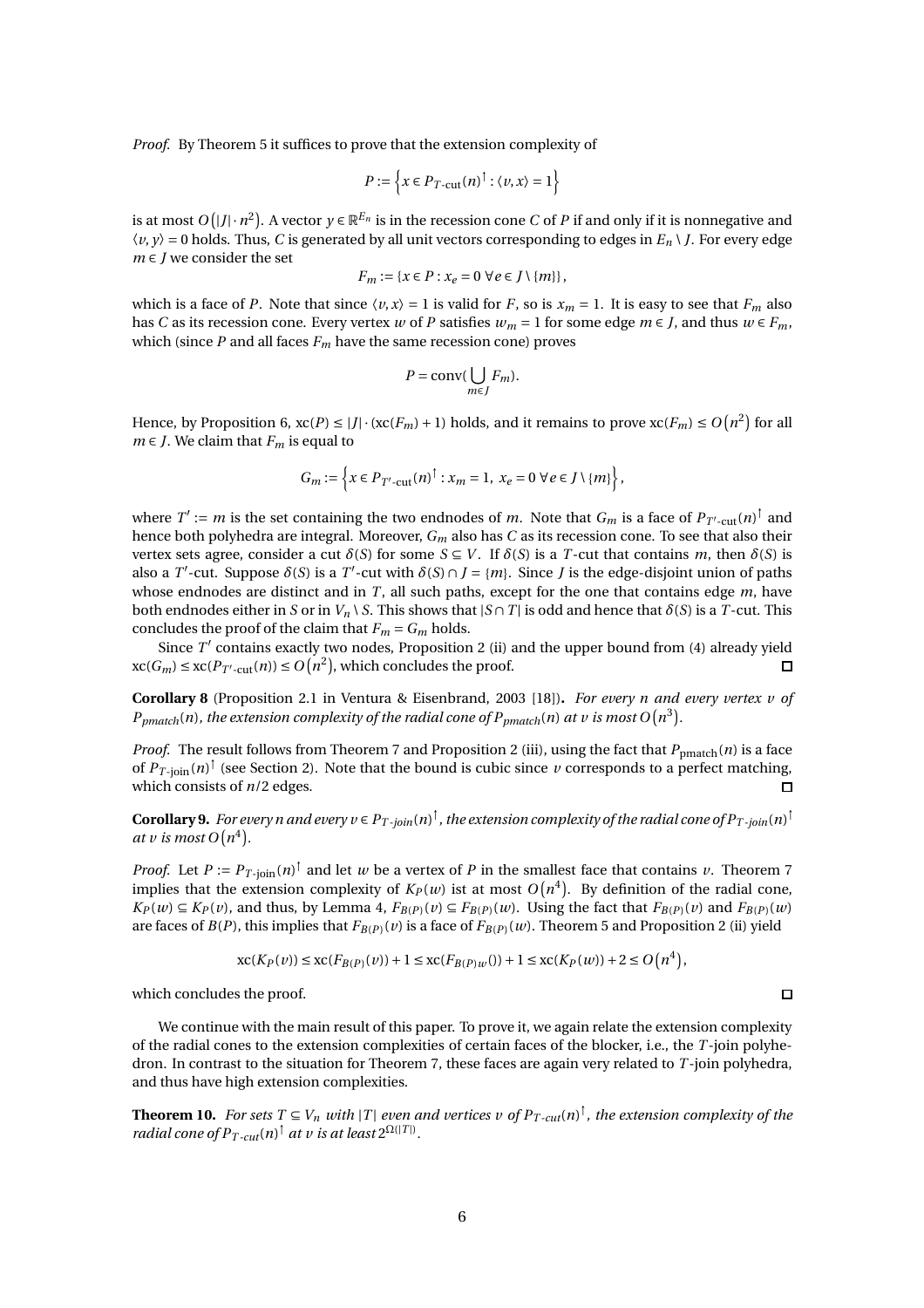*Proof.* By Theorem [5](#page-4-4) it suffices to prove that the extension complexity of

$$
P := \left\{ x \in P_{T\text{-cut}}(n)^\dagger : \langle v, x \rangle = 1 \right\}
$$

is at most  $O(|J|\cdot n^2)$ . A vector  $y\in \mathbb{R}^{E_n}$  is in the recession cone  $C$  of  $P$  if and only if it is nonnegative and 〈*v*, *y*〉 = 0 holds. Thus, *C* is generated by all unit vectors corresponding to edges in *E<sup>n</sup>* \ *J*. For every edge *m* ∈ *J* we consider the set

$$
F_m := \{x \in P : x_e = 0 \,\,\forall e \in J \setminus \{m\}\},\
$$

which is a face of *P*. Note that since  $\langle v, x \rangle = 1$  is valid for *F*, so is  $x_m = 1$ . It is easy to see that  $F_m$  also has *C* as its recession cone. Every vertex *w* of *P* satisfies  $w_m = 1$  for some edge  $m \in J$ , and thus  $w \in F_m$ , which (since  $P$  and all faces  $F_m$  have the same recession cone) proves

$$
P = \text{conv}(\bigcup_{m \in J} F_m).
$$

Hence, by Proposition [6,](#page-4-5)  $xc(P) \le |J| \cdot (xc(F_m) + 1)$  holds, and it remains to prove  $xc(F_m) \le O(n^2)$  for all *m* ∈ *J*. We claim that  $F_m$  is equal to

$$
G_m := \left\{ x \in P_{T'-\text{cut}}(n)^\dagger : x_m = 1, \ x_e = 0 \ \forall e \in J \setminus \{m\} \right\},\
$$

where  $T':=m$  is the set containing the two endnodes of  $m$ . Note that  $G_m$  is a face of  $P_{T'\text{-cut}}(n)^\dagger$  and hence both polyhedra are integral. Moreover, *G<sup>m</sup>* also has *C* as its recession cone. To see that also their vertex sets agree, consider a cut  $\delta(S)$  for some  $S \subseteq V$ . If  $\delta(S)$  is a *T*-cut that contains *m*, then  $\delta(S)$  is also a *T*'-cut. Suppose  $\delta(S)$  is a *T*'-cut with  $\delta(S) \cap J = \{m\}$ . Since *J* is the edge-disjoint union of paths whose endnodes are distinct and in *T*, all such paths, except for the one that contains edge *m*, have both endnodes either in *S* or in  $V_n \setminus S$ . This shows that  $|S \cap T|$  is odd and hence that  $\delta(S)$  is a *T*-cut. This concludes the proof of the claim that  $F_m = G_m$  holds.

Since T' contains exactly two nodes, Proposition [2](#page-2-4) [\(ii\)](#page-2-1) and the upper bound from [\(4\)](#page-3-6) already yield  $\operatorname{xc}(G_m) \leq \operatorname{xc}(P_{T' \text{-cut}}(n)) \leq O\big(n^2\big)$ , which concludes the proof.  $\Box$ 

**Corollary 8** (Proposition 2.1 in Ventura & Eisenbrand, 2003 [\[18](#page-8-1)])**.** *For every n and every vertex v of*  $P_{pmatch}(n)$  , the extension complexity of the radial cone of  $P_{pmatch}(n)$  at  $v$  is most  $O\big(n^3\big)$ .

*Proof.* The result follows from Theorem [7](#page-4-6) and Proposition [2](#page-2-4) [\(iii\),](#page-2-2) using the fact that  $P_{pmatch}(n)$  is a face of  $P_{T\text{-join}}(n)$ <sup>†</sup> (see Section [2\)](#page-1-1). Note that the bound is cubic since *v* corresponds to a perfect matching, which consists of *n*/2 edges.  $\Box$ 

Corollary 9. For every n and every  $v \in P_{T-join}(n)^\dagger$  , the extension complexity of the radial cone of  $P_{T-join}(n)^\dagger$ *at v* is most  $O(n^4)$ .

*Proof.* Let  $P := P_{T-\text{join}}(n)^\dagger$  and let *w* be a vertex of *P* in the smallest face that contains *v*. Theorem [7](#page-4-6) implies that the extension complexity of  $K_P(w)$  ist at most  $O(n^4)$ . By definition of the radial cone,  $K_P(w) \subseteq K_P(v)$ , and thus, by Lemma [4,](#page-4-3)  $F_{B(P)}(v) \subseteq F_{B(P)}(w)$ . Using the fact that  $F_{B(P)}(v)$  and  $F_{B(P)}(w)$ are faces of  $B(P)$ , this implies that  $F_{B(P)}(v)$  is a face of  $F_{B(P)}(w)$ . Theorem [5](#page-4-4) and Proposition [2](#page-2-4) [\(ii\)](#page-2-1) yield

$$
\operatorname{xc}(K_P(v)) \le \operatorname{xc}(F_{B(P)}(v)) + 1 \le \operatorname{xc}(F_{B(P)w}(v)) + 1 \le \operatorname{xc}(K_P(w)) + 2 \le O\left(n^4\right),
$$

which concludes the proof.

We continue with the main result of this paper. To prove it, we again relate the extension complexity of the radial cones to the extension complexities of certain faces of the blocker, i.e., the *T* -join polyhedron. In contrast to the situation for Theorem [7,](#page-4-6) these faces are again very related to *T* -join polyhedra, and thus have high extension complexities.

<span id="page-5-0"></span>**Theorem 10.** For sets  $T \subseteq V_n$  with  $|T|$  even and vertices v of  $P_{T\text{-}cut}(n)^\dagger$ , the extension complexity of the *radial cone of*  $P_{T-cut}(n)^{\dagger}$  *at v is at least*  $2^{\Omega(|T|)}$ *.* 

 $\Box$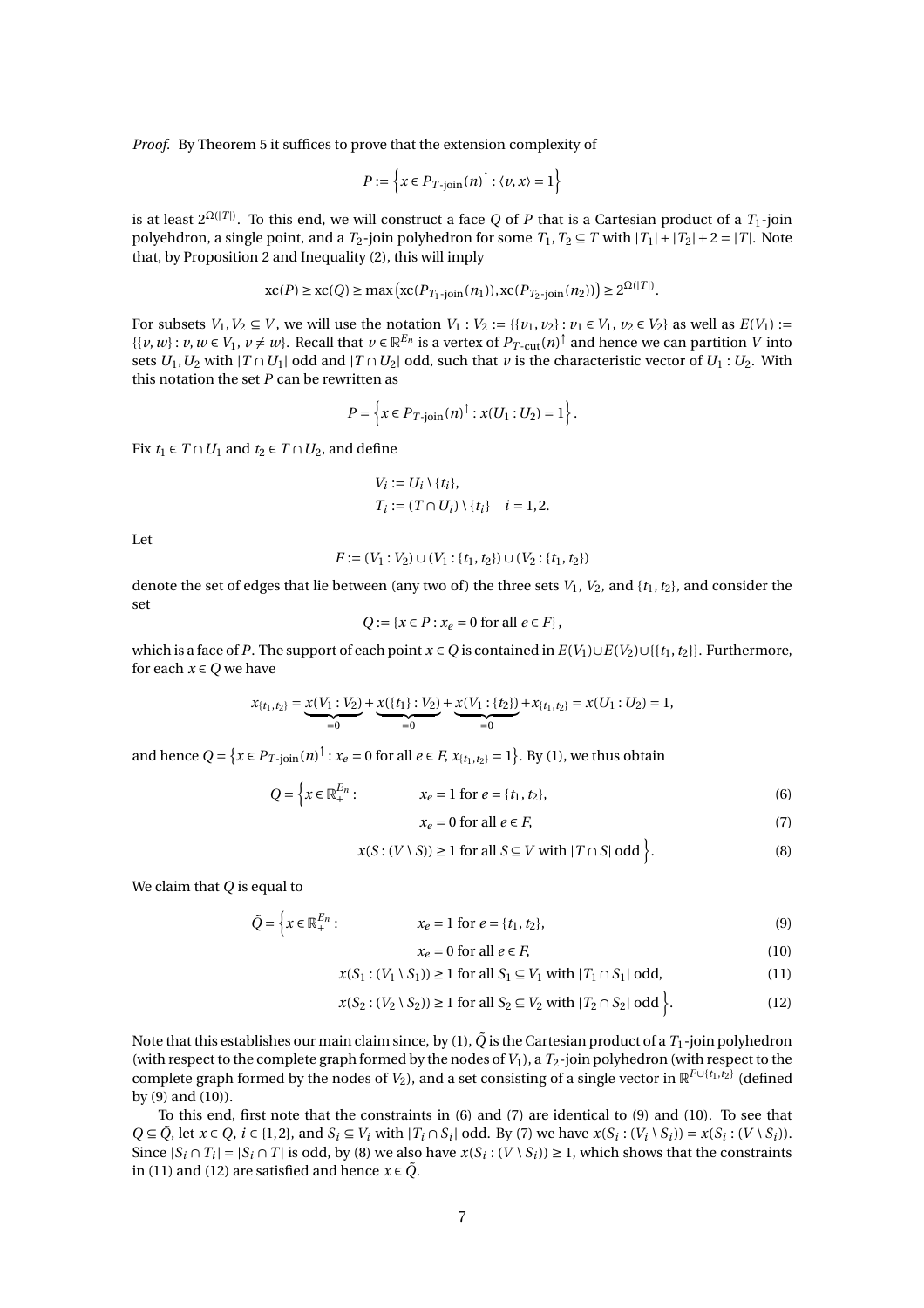*Proof.* By Theorem [5](#page-4-4) it suffices to prove that the extension complexity of

$$
P := \left\{ x \in P_{T\text{-join}}(n)^\dagger : \langle v, x \rangle = 1 \right\}
$$

is at least 2Ω(|*<sup>T</sup>* <sup>|</sup>) . To this end, we will construct a face *Q* of *P* that is a Cartesian product of a *T*1-join polyehdron, a single point, and a  $T_2$ -join polyhedron for some  $T_1, T_2 \subseteq T$  with  $|T_1| + |T_2| + 2 = |T|$ . Note that, by Proposition [2](#page-2-4) and Inequality [\(2\)](#page-3-3), this will imply

$$
\mathrm{xc}(P) \ge \mathrm{xc}(Q) \ge \max\left(\mathrm{xc}(P_{T_1\text{-join}}(n_1)), \mathrm{xc}(P_{T_2\text{-join}}(n_2))\right) \ge 2^{\Omega(|T|)}.
$$

For subsets *V*<sub>1</sub>, *V*<sub>2</sub> ⊆ *V*, we will use the notation *V*<sub>1</sub> : *V*<sub>2</sub> := {{*v*<sub>1</sub>, *v*<sub>2</sub>} : *v*<sub>1</sub> ∈ *V*<sub>1</sub>, *v*<sub>2</sub> ∈ *V*<sub>2</sub>} as well as *E*(*V*<sub>1</sub>) :=  $\{ \{v, w\} : v, w \in V_1, v \neq w \}$ . Recall that  $v \in \mathbb{R}^{E_n}$  is a vertex of  $P_{T-\text{cut}}(n)^\dagger$  and hence we can partition *V* into sets  $U_1, U_2$  with  $|T \cap U_1|$  odd and  $|T \cap U_2|$  odd, such that  $\nu$  is the characteristic vector of  $U_1 : U_2$ . With this notation the set *P* can be rewritten as

$$
P = \left\{ x \in P_{T \text{-join}}(n)^{\dagger} : x(U_1 : U_2) = 1 \right\}.
$$

Fix *t*<sub>1</sub> ∈ *T* ∩ *U*<sub>1</sub> and *t*<sub>2</sub> ∈ *T* ∩ *U*<sub>2</sub>, and define

$$
V_i := U_i \setminus \{t_i\},
$$
  
\n
$$
T_i := (T \cap U_i) \setminus \{t_i\} \quad i = 1, 2.
$$

Let

$$
F := (V_1 : V_2) \cup (V_1 : \{t_1, t_2\}) \cup (V_2 : \{t_1, t_2\})
$$

denote the set of edges that lie between (any two of) the three sets  $V_1$ ,  $V_2$ , and  $\{t_1, t_2\}$ , and consider the set

$$
Q:=\{x\in P: x_e=0 \text{ for all } e\in F\},\
$$

which is a face of *P*. The support of each point  $x \in Q$  is contained in  $E(V_1) \cup E(V_2) \cup \{\{t_1, t_2\}\}\$ . Furthermore, for each  $x \in Q$  we have

$$
x_{\{t_1,t_2\}} = \underbrace{x(V_1:V_2)}_{=0} + \underbrace{x(\{t_1\}:V_2)}_{=0} + \underbrace{x(V_1:\{t_2\})}_{=0} + x_{\{t_1,t_2\}} = x(U_1:U_2) = 1,
$$

and hence  $Q = \{x \in P_T$ -join $(n)^\dagger : x_e = 0$  for all  $e \in F$ ,  $x_{\{t_1, t_2\}} = 1\}$ . By [\(1\)](#page-3-7), we thus obtain

$$
Q = \left\{ x \in \mathbb{R}_+^{E_n} : x_e = 1 \text{ for } e = \{t_1, t_2\},\right\}
$$
\n(6)

<span id="page-6-4"></span><span id="page-6-3"></span><span id="page-6-2"></span><span id="page-6-0"></span>
$$
x_e = 0 \text{ for all } e \in F,\tag{7}
$$

$$
x(S:(V\setminus S)) \ge 1 \text{ for all } S \subseteq V \text{ with } |T \cap S| \text{ odd } \Big\}.
$$
 (8)

We claim that *Q* is equal to

$$
\tilde{Q} = \left\{ x \in \mathbb{R}_+^{E_n} : x_e = 1 \text{ for } e = \{t_1, t_2\},\right\}
$$
\n(9)

<span id="page-6-6"></span><span id="page-6-5"></span><span id="page-6-1"></span>
$$
x_e = 0 \text{ for all } e \in F,\tag{10}
$$

$$
x(S_1 : (V_1 \setminus S_1)) \ge 1 \text{ for all } S_1 \subseteq V_1 \text{ with } |T_1 \cap S_1| \text{ odd},
$$
 (11)

$$
x(S_2:(V_2 \setminus S_2)) \ge 1 \text{ for all } S_2 \subseteq V_2 \text{ with } |T_2 \cap S_2| \text{ odd } \bigg\}.
$$
 (12)

Note that this establishes our main claim since, by [\(1\)](#page-3-7),  $\tilde{Q}$  is the Cartesian product of a  $T_1$ -join polyhedron (with respect to the complete graph formed by the nodes of*V*1), a *T*2-join polyhedron (with respect to the complete graph formed by the nodes of  $V_2$ ), and a set consisting of a single vector in  $\mathbb{R}^{F\cup\{t_1,t_2\}}$  (defined by [\(9\)](#page-6-0) and [\(10\)](#page-6-1)).

To this end, first note that the constraints in [\(6\)](#page-6-2) and [\(7\)](#page-6-3) are identical to [\(9\)](#page-6-0) and [\(10\)](#page-6-1). To see that  $Q \subseteq \tilde{Q}$ , let  $x \in Q$ ,  $i \in \{1,2\}$ , and  $S_i \subseteq V_i$  with  $|T_i \cap S_i|$  odd. By [\(7\)](#page-6-3) we have  $x(S_i : (V_i \setminus S_i)) = x(S_i : (V \setminus S_i))$ . Since  $|S_i \cap T_i| = |S_i \cap T|$  is odd, by [\(8\)](#page-6-4) we also have  $x(S_i : (V \setminus S_i)) \ge 1$ , which shows that the constraints in [\(11\)](#page-6-5) and [\(12\)](#page-6-6) are satisfied and hence  $x \in \tilde{Q}$ .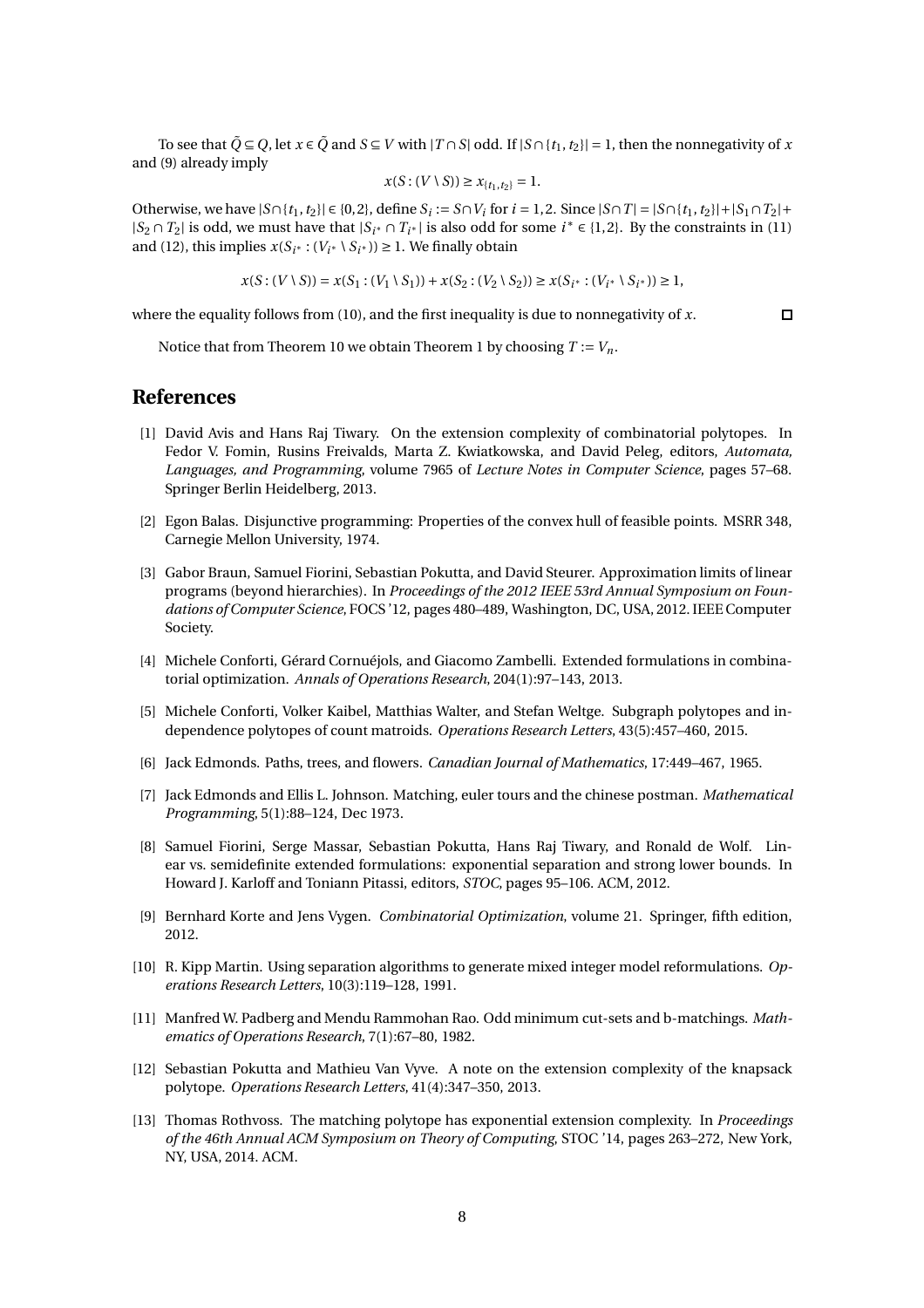To see that  $\tilde{Q} \subseteq Q$ , let  $x \in \tilde{Q}$  and  $S \subseteq V$  with  $|T \cap S|$  odd. If  $|S \cap \{t_1, t_2\}| = 1$ , then the nonnegativity of *x* and [\(9\)](#page-6-0) already imply

$$
x(S:(V\setminus S))\geq x_{\{t_1,t_2\}}=1.
$$

Otherwise, we have  $|S \cap \{t_1, t_2\}| \in \{0, 2\}$ , define  $S_i := S \cap V_i$  for  $i = 1, 2$ . Since  $|S \cap T| = |S \cap \{t_1, t_2\}| + |S_1 \cap T_2| +$  $|S_2 \cap T_2|$  is odd, we must have that  $|S_i \cap T_{i^*}|$  is also odd for some  $i^* \in \{1,2\}$ . By the constraints in [\(11\)](#page-6-5) and [\(12\)](#page-6-6), this implies  $x(S_{i^*} : (V_{i^*} \setminus S_{i^*})) \geq 1$ . We finally obtain

$$
x(S:(V\setminus S))=x(S_1:(V_1\setminus S_1))+x(S_2:(V_2\setminus S_2))\geq x(S_{i^*}:(V_{i^*}\setminus S_{i^*}))\geq 1,
$$

where the equality follows from [\(10\)](#page-6-1), and the first inequality is due to nonnegativity of *x*.

 $\Box$ 

Notice that from Theorem [10](#page-5-0) we obtain Theorem [1](#page-1-3) by choosing  $T := V_n$ .

### **References**

- <span id="page-7-6"></span>[1] David Avis and Hans Raj Tiwary. On the extension complexity of combinatorial polytopes. In Fedor V. Fomin, Rusins Freivalds, Marta Z. Kwiatkowska, and David Peleg, editors, *Automata, Languages, and Programming*, volume 7965 of *Lecture Notes in Computer Science*, pages 57–68. Springer Berlin Heidelberg, 2013.
- <span id="page-7-12"></span>[2] Egon Balas. Disjunctive programming: Properties of the convex hull of feasible points. MSRR 348, Carnegie Mellon University, 1974.
- <span id="page-7-5"></span>[3] Gabor Braun, Samuel Fiorini, Sebastian Pokutta, and David Steurer. Approximation limits of linear programs (beyond hierarchies). In *Proceedings of the 2012 IEEE 53rd Annual Symposium on Foundations of Computer Science*, FOCS '12, pages 480–489, Washington, DC, USA, 2012. IEEE Computer Society.
- <span id="page-7-1"></span>[4] Michele Conforti, Gérard Cornuéjols, and Giacomo Zambelli. Extended formulations in combinatorial optimization. *Annals of Operations Research*, 204(1):97–143, 2013.
- <span id="page-7-11"></span>[5] Michele Conforti, Volker Kaibel, Matthias Walter, and Stefan Weltge. Subgraph polytopes and independence polytopes of count matroids. *Operations Research Letters*, 43(5):457–460, 2015.
- <span id="page-7-3"></span>[6] Jack Edmonds. Paths, trees, and flowers. *Canadian Journal of Mathematics*, 17:449–467, 1965.
- <span id="page-7-9"></span>[7] Jack Edmonds and Ellis L. Johnson. Matching, euler tours and the chinese postman. *Mathematical Programming*, 5(1):88–124, Dec 1973.
- <span id="page-7-2"></span>[8] Samuel Fiorini, Serge Massar, Sebastian Pokutta, Hans Raj Tiwary, and Ronald de Wolf. Linear vs. semidefinite extended formulations: exponential separation and strong lower bounds. In Howard J. Karloff and Toniann Pitassi, editors, *STOC*, pages 95–106. ACM, 2012.
- <span id="page-7-10"></span>[9] Bernhard Korte and Jens Vygen. *Combinatorial Optimization*, volume 21. Springer, fifth edition, 2012.
- <span id="page-7-0"></span>[10] R. Kipp Martin. Using separation algorithms to generate mixed integer model reformulations. *Operations Research Letters*, 10(3):119–128, 1991.
- <span id="page-7-8"></span>[11] Manfred W. Padberg and Mendu Rammohan Rao. Odd minimum cut-sets and b-matchings. *Mathematics of Operations Research*, 7(1):67–80, 1982.
- <span id="page-7-7"></span>[12] Sebastian Pokutta and Mathieu Van Vyve. A note on the extension complexity of the knapsack polytope. *Operations Research Letters*, 41(4):347–350, 2013.
- <span id="page-7-4"></span>[13] Thomas Rothvoss. The matching polytope has exponential extension complexity. In *Proceedings of the 46th Annual ACM Symposium on Theory of Computing*, STOC '14, pages 263–272, New York, NY, USA, 2014. ACM.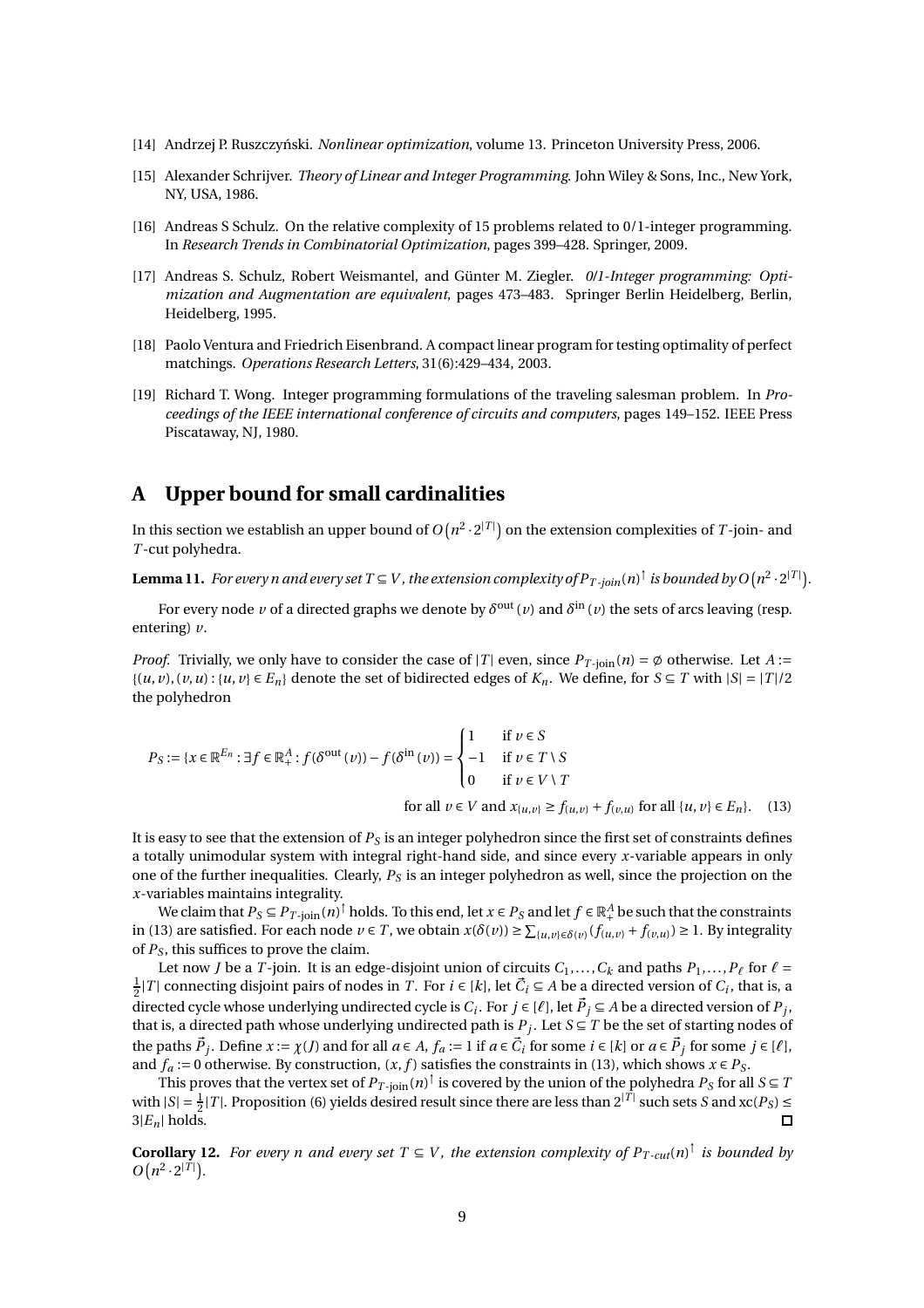- <span id="page-8-4"></span>[14] Andrzej P. Ruszczyński. *Nonlinear optimization*, volume 13. Princeton University Press, 2006.
- <span id="page-8-6"></span>[15] Alexander Schrijver. *Theory of Linear and Integer Programming*. John Wiley & Sons, Inc., New York, NY, USA, 1986.
- <span id="page-8-3"></span>[16] Andreas S Schulz. On the relative complexity of 15 problems related to 0/1-integer programming. In *Research Trends in Combinatorial Optimization*, pages 399–428. Springer, 2009.
- <span id="page-8-2"></span>[17] Andreas S. Schulz, Robert Weismantel, and Günter M. Ziegler. *0/1-Integer programming: Optimization and Augmentation are equivalent*, pages 473–483. Springer Berlin Heidelberg, Berlin, Heidelberg, 1995.
- <span id="page-8-1"></span>[18] Paolo Ventura and Friedrich Eisenbrand. A compact linear program for testing optimality of perfect matchings. *Operations Research Letters*, 31(6):429–434, 2003.
- <span id="page-8-0"></span>[19] Richard T. Wong. Integer programming formulations of the traveling salesman problem. In *Proceedings of the IEEE international conference of circuits and computers*, pages 149–152. IEEE Press Piscataway, NJ, 1980.

# <span id="page-8-5"></span>**A Upper bound for small cardinalities**

In this section we establish an upper bound of  $O\big(n^2\cdot 2^{|T|}\big)$  on the extension complexities of  $T$ -join- and *T* -cut polyhedra.

<span id="page-8-8"></span>Lemma 11. *For every n and every set T*  $\subseteq$  *V , the extension complexity of*  $P_{T\text{-}join}(n)^\dagger$  *is bounded by O*  $(n^2\cdot 2^{|T|})$ *.* 

For every node  $\nu$  of a directed graphs we denote by  $\delta^{\rm out}(\nu)$  and  $\delta^{\rm in}(\nu)$  the sets of arcs leaving (resp. entering) *v*.

*Proof.* Trivially, we only have to consider the case of |*T*| even, since  $P_{T\text{-join}}(n) = \emptyset$  otherwise. Let  $A :=$  $\{(u, v), (v, u): \{u, v\} \in E_n\}$  denote the set of bidirected edges of  $K_n$ . We define, for  $S \subseteq T$  with  $|S| = |T|/2$ the polyhedron

<span id="page-8-7"></span>
$$
P_S := \{x \in \mathbb{R}^{E_n} : \exists f \in \mathbb{R}^A_+ : f(\delta^{\text{out}}(v)) - f(\delta^{\text{in}}(v)) = \begin{cases} 1 & \text{if } v \in S \\ -1 & \text{if } v \in T \setminus S \\ 0 & \text{if } v \in V \setminus T \end{cases} \text{for all } \{u, v\} \in E_n\}. \tag{13}
$$

It is easy to see that the extension of *P<sup>S</sup>* is an integer polyhedron since the first set of constraints defines a totally unimodular system with integral right-hand side, and since every *x*-variable appears in only one of the further inequalities. Clearly, *P<sup>S</sup>* is an integer polyhedron as well, since the projection on the *x*-variables maintains integrality.

We claim that  $P_S \subseteq P_{T\text{-join}}(n)^\dagger$  holds. To this end, let  $x\in P_S$  and let  $f\in \mathbb{R}^A_+$  be such that the constraints in [\(13\)](#page-8-7) are satisfied. For each node *v* ∈ *T*, we obtain *x*(*δ*(*v*)) ≥  $\sum_{\{u,v\}\in \delta(v)}(f_{(u,v)} + f_{(v,u)})$  ≥ 1. By integrality of *P<sup>S</sup>* , this suffices to prove the claim.

Let now *J* be a *T*-join. It is an edge-disjoint union of circuits  $C_1, ..., C_k$  and paths  $P_1, ..., P_\ell$  for  $\ell =$  $\frac{1}{2}$ |*T*| connecting disjoint pairs of nodes in *T*. For *i* ∈ [*k*], let  $\vec{C}_i$  ⊆ *A* be a directed version of  $C_i$ , that is, a directed cycle whose underlying undirected cycle is  $C_i$ . For  $j \in [\ell]$ , let  $\vec{P}_j \subseteq A$  be a directed version of  $P_j$ , that is, a directed path whose underlying undirected path is  $P_j$ . Let  $S \subseteq T$  be the set of starting nodes of the paths  $\vec{P}_j$ . Define  $x := \chi(j)$  and for all  $a \in A$ ,  $f_a := 1$  if  $a \in \vec{C}_i$  for some  $i \in [k]$  or  $a \in \vec{P}_j$  for some  $j \in [\ell]$ , and  $f_a := 0$  otherwise. By construction,  $(x, f)$  satisfies the constraints in [\(13\)](#page-8-7), which shows  $x \in P_S$ .

This proves that the vertex set of  $P_{T\text{-join}}(n)^\dagger$  is covered by the union of the polyhedra  $P_S$  for all  $S\subseteq T$ with  $|S| = \frac{1}{2}|T|$ . Proposition [\(6\)](#page-4-5) yields desired result since there are less than  $2^{|T|}$  such sets *S* and  $xc(P_S) \le$  $3|E_n|$  holds.  $\Box$ 

**Corollary 12.** *For every n and every set*  $T \subseteq V$ , the extension complexity of  $P_{T-cut}(n)^{\dagger}$  is bounded by  $O(n^2 \cdot 2^{|T|})$ .